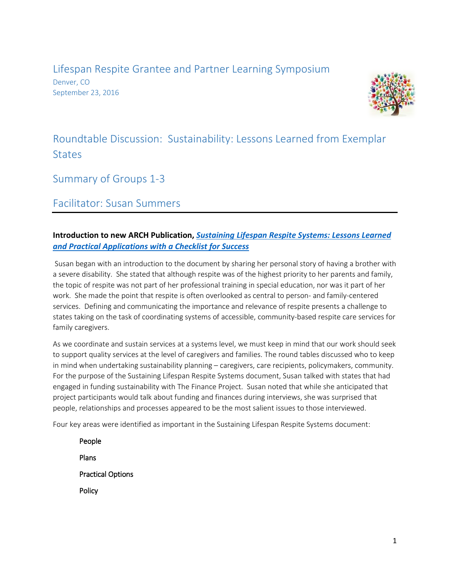Lifespan Respite Grantee and Partner Learning Symposium Denver, CO September 23, 2016



# Roundtable Discussion: Sustainability: Lessons Learned from Exemplar **States**

Summary of Groups 1-3

Facilitator: Susan Summers

## **Introduction to new ARCH Publication,** *[Sustaining Lifespan Respite Systems: Lessons Learned](http://www.lifespanrespite.memberlodge.org/resources/Documents/Grantee_Symposium_2016/Handouts/Sustaining_Checklist_web.pdf)  [and Practical Applications with a Checklist for Success](http://www.lifespanrespite.memberlodge.org/resources/Documents/Grantee_Symposium_2016/Handouts/Sustaining_Checklist_web.pdf)*

Susan began with an introduction to the document by sharing her personal story of having a brother with a severe disability. She stated that although respite was of the highest priority to her parents and family, the topic of respite was not part of her professional training in special education, nor was it part of her work. She made the point that respite is often overlooked as central to person- and family-centered services. Defining and communicating the importance and relevance of respite presents a challenge to states taking on the task of coordinating systems of accessible, community-based respite care services for family caregivers.

As we coordinate and sustain services at a systems level, we must keep in mind that our work should seek to support quality services at the level of caregivers and families. The round tables discussed who to keep in mind when undertaking sustainability planning – caregivers, care recipients, policymakers, community. For the purpose of the Sustaining Lifespan Respite Systems document, Susan talked with states that had engaged in funding sustainability with The Finance Project. Susan noted that while she anticipated that project participants would talk about funding and finances during interviews, she was surprised that people, relationships and processes appeared to be the most salient issues to those interviewed.

Four key areas were identified as important in the Sustaining Lifespan Respite Systems document:

People Plans Practical Options **Policy**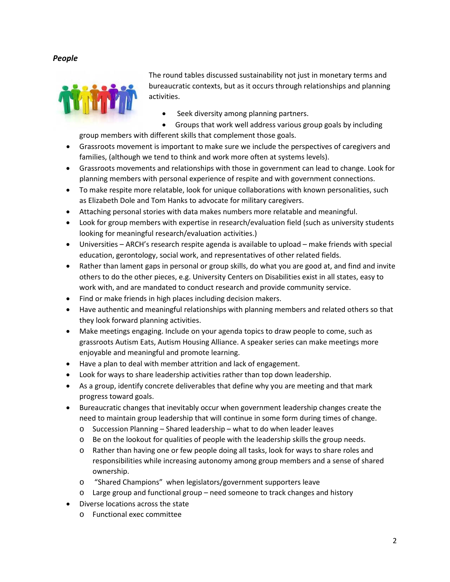*People*



The round tables discussed sustainability not just in monetary terms and bureaucratic contexts, but as it occurs through relationships and planning activities.

- Seek diversity among planning partners.
- Groups that work well address various group goals by including group members with different skills that complement those goals.
- Grassroots movement is important to make sure we include the perspectives of caregivers and families, (although we tend to think and work more often at systems levels).
- Grassroots movements and relationships with those in government can lead to change. Look for planning members with personal experience of respite and with government connections.
- To make respite more relatable, look for unique collaborations with known personalities, such as Elizabeth Dole and Tom Hanks to advocate for military caregivers.
- Attaching personal stories with data makes numbers more relatable and meaningful.
- Look for group members with expertise in research/evaluation field (such as university students looking for meaningful research/evaluation activities.)
- Universities ARCH's research respite agenda is available to upload make friends with special education, gerontology, social work, and representatives of other related fields.
- Rather than lament gaps in personal or group skills, do what you are good at, and find and invite others to do the other pieces, e.g. University Centers on Disabilities exist in all states, easy to work with, and are mandated to conduct research and provide community service.
- Find or make friends in high places including decision makers.
- Have authentic and meaningful relationships with planning members and related others so that they look forward planning activities.
- Make meetings engaging. Include on your agenda topics to draw people to come, such as grassroots Autism Eats, Autism Housing Alliance. A speaker series can make meetings more enjoyable and meaningful and promote learning.
- Have a plan to deal with member attrition and lack of engagement.
- Look for ways to share leadership activities rather than top down leadership.
- As a group, identify concrete deliverables that define why you are meeting and that mark progress toward goals.
- Bureaucratic changes that inevitably occur when government leadership changes create the need to maintain group leadership that will continue in some form during times of change.
	- o Succession Planning Shared leadership what to do when leader leaves
	- $\circ$  Be on the lookout for qualities of people with the leadership skills the group needs.
	- o Rather than having one or few people doing all tasks, look for ways to share roles and responsibilities while increasing autonomy among group members and a sense of shared ownership.
	- o "Shared Champions" when legislators/government supporters leave
	- o Large group and functional group need someone to track changes and history
- Diverse locations across the state
	- o Functional exec committee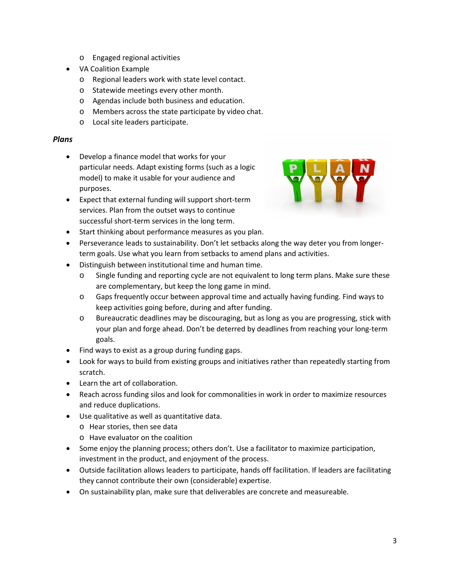- o Engaged regional activities
- VA Coalition Example
	- o Regional leaders work with state level contact.
	- o Statewide meetings every other month.
	- o Agendas include both business and education.
	- o Members across the state participate by video chat.
	- o Local site leaders participate.

## *Plans*

- Develop a finance model that works for your particular needs. Adapt existing forms (such as a logic model) to make it usable for your audience and purposes.
- Expect that external funding will support short-term services. Plan from the outset ways to continue successful short-term services in the long term.



- Start thinking about performance measures as you plan.
- Perseverance leads to sustainability. Don't let setbacks along the way deter you from longerterm goals. Use what you learn from setbacks to amend plans and activities.
- Distinguish between institutional time and human time.
	- o Single funding and reporting cycle are not equivalent to long term plans. Make sure these are complementary, but keep the long game in mind.
	- o Gaps frequently occur between approval time and actually having funding. Find ways to keep activities going before, during and after funding.
	- o Bureaucratic deadlines may be discouraging, but as long as you are progressing, stick with your plan and forge ahead. Don't be deterred by deadlines from reaching your long-term goals.
- Find ways to exist as a group during funding gaps.
- Look for ways to build from existing groups and initiatives rather than repeatedly starting from scratch.
- Learn the art of collaboration.
- Reach across funding silos and look for commonalities in work in order to maximize resources and reduce duplications.
- Use qualitative as well as quantitative data.
	- o Hear stories, then see data
	- o Have evaluator on the coalition
- Some enjoy the planning process; others don't. Use a facilitator to maximize participation, investment in the product, and enjoyment of the process.
- Outside facilitation allows leaders to participate, hands off facilitation. If leaders are facilitating they cannot contribute their own (considerable) expertise.
- On sustainability plan, make sure that deliverables are concrete and measureable.